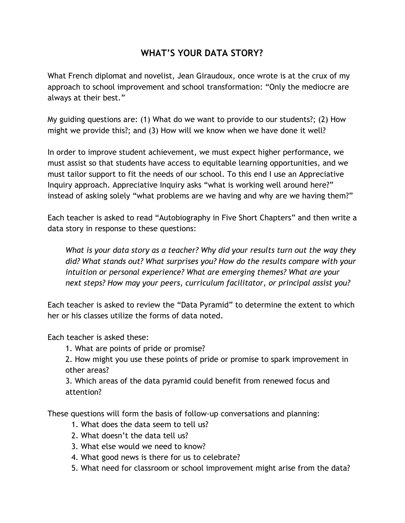## **WHAT'S YOUR DATA STORY?**

What French diplomat and novelist, Jean Giraudoux, once wrote is at the crux of my approach to school improvement and school transformation: "Only the mediocre are always at their best."

My guiding questions are: (1) What do we want to provide to our students?; (2) How might we provide this?; and (3) How will we know when we have done it well?

In order to improve student achievement, we must expect higher performance, we must assist so that students have access to equitable learning opportunities, and we must tailor support to fit the needs of our school. To this end I use an Appreciative Inquiry approach. Appreciative Inquiry asks "what is working well around here?" instead of asking solely "what problems are we having and why are we having them?"

Each teacher is asked to read "Autobiography in Five Short Chapters" and then write a data story in response to these questions:

*What is your data story as a teacher? Why did your results turn out the way they did? What stands out? What surprises you? How do the results compare with your intuition or personal experience? What are emerging themes? What are your next steps? How may your peers, curriculum facilitator, or principal assist you?*

Each teacher is asked to review the "Data Pyramid" to determine the extent to which her or his classes utilize the forms of data noted.

Each teacher is asked these:

1. What are points of pride or promise?

2. How might you use these points of pride or promise to spark improvement in other areas?

3. Which areas of the data pyramid could benefit from renewed focus and attention?

These questions will form the basis of follow-up conversations and planning:

- 1. What does the data seem to tell us?
- 2. What doesn't the data tell us?
- 3. What else would we need to know?
- 4. What good news is there for us to celebrate?
- 5. What need for classroom or school improvement might arise from the data?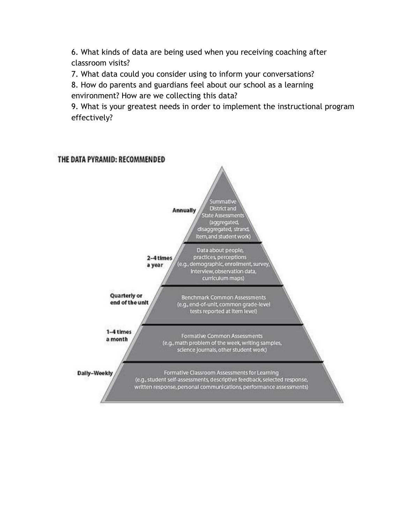6. What kinds of data are being used when you receiving coaching after classroom visits?

7. What data could you consider using to inform your conversations?

8. How do parents and guardians feel about our school as a learning environment? How are we collecting this data?

9. What is your greatest needs in order to implement the instructional program effectively?